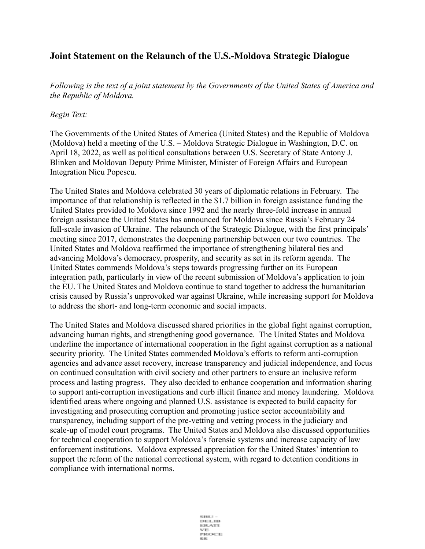## **Joint Statement on the Relaunch of the U.S.-Moldova Strategic Dialogue**

*Following is the text of a joint statement by the Governments of the United States of America and the Republic of Moldova.*

## *Begin Text:*

The Governments of the United States of America (United States) and the Republic of Moldova (Moldova) held a meeting of the U.S. – Moldova Strategic Dialogue in Washington, D.C. on April 18, 2022, as well as political consultations between U.S. Secretary of State Antony J. Blinken and Moldovan Deputy Prime Minister, Minister of Foreign Affairs and European Integration Nicu Popescu.

The United States and Moldova celebrated 30 years of diplomatic relations in February. The importance of that relationship is reflected in the \$1.7 billion in foreign assistance funding the United States provided to Moldova since 1992 and the nearly three-fold increase in annual foreign assistance the United States has announced for Moldova since Russia's February 24 full-scale invasion of Ukraine. The relaunch of the Strategic Dialogue, with the first principals' meeting since 2017, demonstrates the deepening partnership between our two countries. The United States and Moldova reaffirmed the importance of strengthening bilateral ties and advancing Moldova's democracy, prosperity, and security as set in its reform agenda. The United States commends Moldova's steps towards progressing further on its European integration path, particularly in view of the recent submission of Moldova's application to join the EU. The United States and Moldova continue to stand together to address the humanitarian crisis caused by Russia's unprovoked war against Ukraine, while increasing support for Moldova to address the short- and long-term economic and social impacts.

The United States and Moldova discussed shared priorities in the global fight against corruption, advancing human rights, and strengthening good governance. The United States and Moldova underline the importance of international cooperation in the fight against corruption as a national security priority. The United States commended Moldova's efforts to reform anti-corruption agencies and advance asset recovery, increase transparency and judicial independence, and focus on continued consultation with civil society and other partners to ensure an inclusive reform process and lasting progress. They also decided to enhance cooperation and information sharing to support anti-corruption investigations and curb illicit finance and money laundering. Moldova identified areas where ongoing and planned U.S. assistance is expected to build capacity for investigating and prosecuting corruption and promoting justice sector accountability and transparency, including support of the pre-vetting and vetting process in the judiciary and scale-up of model court programs. The United States and Moldova also discussed opportunities for technical cooperation to support Moldova's forensic systems and increase capacity of law enforcement institutions. Moldova expressed appreciation for the United States' intention to support the reform of the national correctional system, with regard to detention conditions in compliance with international norms.

> 59.000.00 DELTE<br>EBATI 2010/07/12 PROCE 53,521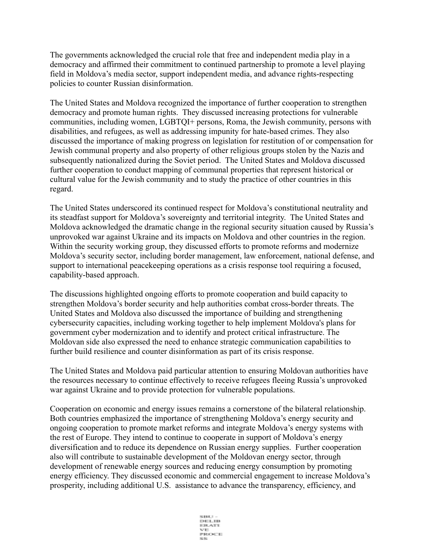The governments acknowledged the crucial role that free and independent media play in a democracy and affirmed their commitment to continued partnership to promote a level playing field in Moldova's media sector, support independent media, and advance rights-respecting policies to counter Russian disinformation.

The United States and Moldova recognized the importance of further cooperation to strengthen democracy and promote human rights. They discussed increasing protections for vulnerable communities, including women, LGBTQI+ persons, Roma, the Jewish community, persons with disabilities, and refugees, as well as addressing impunity for hate-based crimes. They also discussed the importance of making progress on legislation for restitution of or compensation for Jewish communal property and also property of other religious groups stolen by the Nazis and subsequently nationalized during the Soviet period. The United States and Moldova discussed further cooperation to conduct mapping of communal properties that represent historical or cultural value for the Jewish community and to study the practice of other countries in this regard.

The United States underscored its continued respect for Moldova's constitutional neutrality and its steadfast support for Moldova's sovereignty and territorial integrity. The United States and Moldova acknowledged the dramatic change in the regional security situation caused by Russia's unprovoked war against Ukraine and its impacts on Moldova and other countries in the region. Within the security working group, they discussed efforts to promote reforms and modernize Moldova's security sector, including border management, law enforcement, national defense, and support to international peacekeeping operations as a crisis response tool requiring a focused, capability-based approach.

The discussions highlighted ongoing efforts to promote cooperation and build capacity to strengthen Moldova's border security and help authorities combat cross-border threats. The United States and Moldova also discussed the importance of building and strengthening cybersecurity capacities, including working together to help implement Moldova's plans for government cyber modernization and to identify and protect critical infrastructure. The Moldovan side also expressed the need to enhance strategic communication capabilities to further build resilience and counter disinformation as part of its crisis response.

The United States and Moldova paid particular attention to ensuring Moldovan authorities have the resources necessary to continue effectively to receive refugees fleeing Russia's unprovoked war against Ukraine and to provide protection for vulnerable populations.

Cooperation on economic and energy issues remains a cornerstone of the bilateral relationship. Both countries emphasized the importance of strengthening Moldova's energy security and ongoing cooperation to promote market reforms and integrate Moldova's energy systems with the rest of Europe. They intend to continue to cooperate in support of Moldova's energy diversification and to reduce its dependence on Russian energy supplies. Further cooperation also will contribute to sustainable development of the Moldovan energy sector, through development of renewable energy sources and reducing energy consumption by promoting energy efficiency. They discussed economic and commercial engagement to increase Moldova's prosperity, including additional U.S. assistance to advance the transparency, efficiency, and